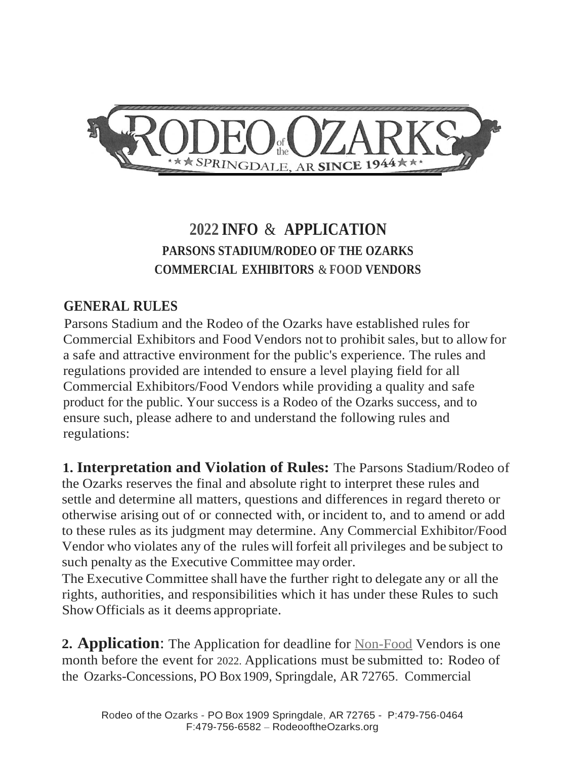

# **2022 INFO** & **APPLICATION PARSONS STADIUM/RODEO OF THE OZARKS COMMERCIAL EXHIBITORS** & **FOOD VENDORS**

#### **GENERAL RULES**

Parsons Stadium and the Rodeo of the Ozarks have established rules for Commercial Exhibitors and Food Vendors not to prohibit sales, but to allowfor a safe and attractive environment for the public's experience. The rules and regulations provided are intended to ensure a level playing field for all Commercial Exhibitors/Food Vendors while providing a quality and safe product for the public. Your success is a Rodeo of the Ozarks success, and to ensure such, please adhere to and understand the following rules and regulations:

**1. Interpretation and Violation of Rules:** The Parsons Stadium/Rodeo of the Ozarks reserves the final and absolute right to interpret these rules and settle and determine all matters, questions and differences in regard thereto or otherwise arising out of or connected with, or incident to, and to amend or add to these rules as its judgment may determine. Any Commercial Exhibitor/Food Vendor who violates any of the rules will forfeit all privileges and be subject to such penalty as the Executive Committee may order.

The Executive Committee shall have the further right to delegate any or all the rights, authorities, and responsibilities which it has under these Rules to such ShowOfficials as it deems appropriate.

**2. Application**: The Application for deadline for Non-Food Vendors is one month before the event for 2022. Applications must be submitted to: Rodeo of the Ozarks-Concessions, PO Box1909, Springdale, AR 72765. Commercial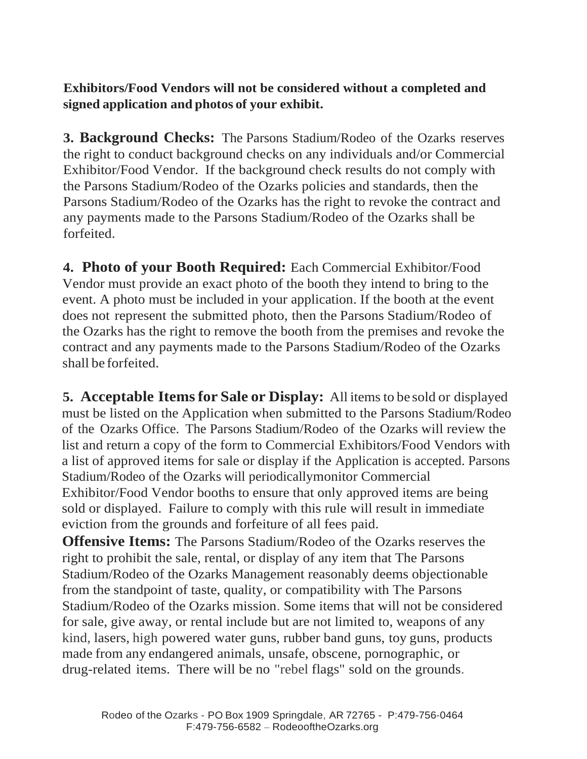**Exhibitors/Food Vendors will not be considered without a completed and signed application and photos of your exhibit.**

**3. Background Checks:** The Parsons Stadium/Rodeo of the Ozarks reserves the right to conduct background checks on any individuals and/or Commercial Exhibitor/Food Vendor. If the background check results do not comply with the Parsons Stadium/Rodeo of the Ozarks policies and standards, then the Parsons Stadium/Rodeo of the Ozarks has the right to revoke the contract and any payments made to the Parsons Stadium/Rodeo of the Ozarks shall be forfeited.

**4. Photo of your Booth Required:** Each Commercial Exhibitor/Food Vendor must provide an exact photo of the booth they intend to bring to the event. A photo must be included in your application. If the booth at the event does not represent the submitted photo, then the Parsons Stadium/Rodeo of the Ozarks has the right to remove the booth from the premises and revoke the contract and any payments made to the Parsons Stadium/Rodeo of the Ozarks shall be forfeited.

**5. Acceptable Itemsfor Sale or Display:** All itemsto be sold or displayed must be listed on the Application when submitted to the Parsons Stadium/Rodeo of the Ozarks Office. The Parsons Stadium/Rodeo of the Ozarks will review the list and return a copy of the form to Commercial Exhibitors/Food Vendors with a list of approved items for sale or display if the Application is accepted. Parsons Stadium/Rodeo of the Ozarks will periodicallymonitor Commercial Exhibitor/Food Vendor booths to ensure that only approved items are being sold or displayed. Failure to comply with this rule will result in immediate eviction from the grounds and forfeiture of all fees paid.

**Offensive Items:** The Parsons Stadium/Rodeo of the Ozarks reserves the right to prohibit the sale, rental, or display of any item that The Parsons Stadium/Rodeo of the Ozarks Management reasonably deems objectionable from the standpoint of taste, quality, or compatibility with The Parsons Stadium/Rodeo of the Ozarks mission. Some items that will not be considered for sale, give away, or rental include but are not limited to, weapons of any kind, lasers, high powered water guns, rubber band guns, toy guns, products made from any endangered animals, unsafe, obscene, pornographic, or drug-related items. There will be no "rebel flags" sold on the grounds.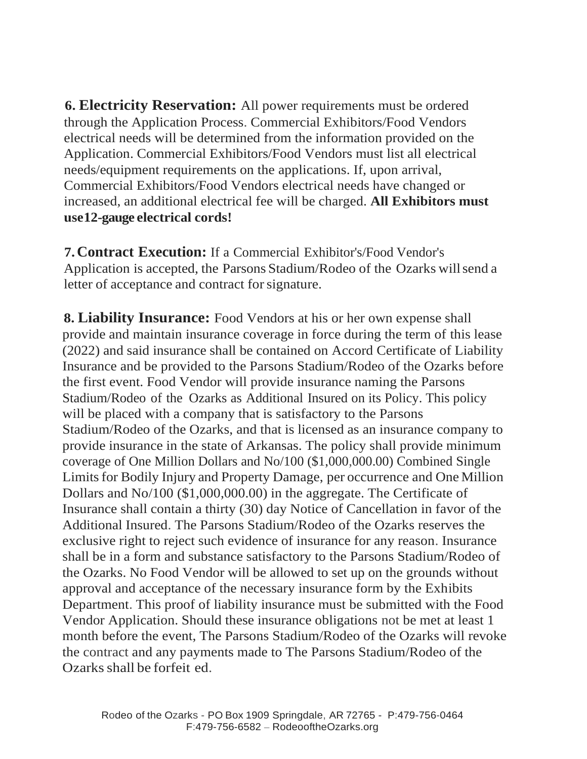**6. Electricity Reservation:** All power requirements must be ordered through the Application Process. Commercial Exhibitors/Food Vendors electrical needs will be determined from the information provided on the Application. Commercial Exhibitors/Food Vendors must list all electrical needs/equipment requirements on the applications. If, upon arrival, Commercial Exhibitors/Food Vendors electrical needs have changed or increased, an additional electrical fee will be charged. **All Exhibitors must use12-gauge electrical cords!**

**7.Contract Execution:** If a Commercial Exhibitor's/Food Vendor's Application is accepted, the Parsons Stadium/Rodeo of the Ozarks willsend a letter of acceptance and contract for signature.

**8. Liability Insurance:** Food Vendors at his or her own expense shall provide and maintain insurance coverage in force during the term of this lease (2022) and said insurance shall be contained on Accord Certificate of Liability Insurance and be provided to the Parsons Stadium/Rodeo of the Ozarks before the first event. Food Vendor will provide insurance naming the Parsons Stadium/Rodeo of the Ozarks as Additional Insured on its Policy. This policy will be placed with a company that is satisfactory to the Parsons Stadium/Rodeo of the Ozarks, and that is licensed as an insurance company to provide insurance in the state of Arkansas. The policy shall provide minimum coverage of One Million Dollars and No/100 (\$1,000,000.00) Combined Single Limits for Bodily Injury and Property Damage, per occurrence and One Million Dollars and No/100 (\$1,000,000.00) in the aggregate. The Certificate of Insurance shall contain a thirty (30) day Notice of Cancellation in favor of the Additional Insured. The Parsons Stadium/Rodeo of the Ozarks reserves the exclusive right to reject such evidence of insurance for any reason. Insurance shall be in a form and substance satisfactory to the Parsons Stadium/Rodeo of the Ozarks. No Food Vendor will be allowed to set up on the grounds without approval and acceptance of the necessary insurance form by the Exhibits Department. This proof of liability insurance must be submitted with the Food Vendor Application. Should these insurance obligations not be met at least 1 month before the event, The Parsons Stadium/Rodeo of the Ozarks will revoke the contract and any payments made to The Parsons Stadium/Rodeo of the Ozarksshall be forfeit ed.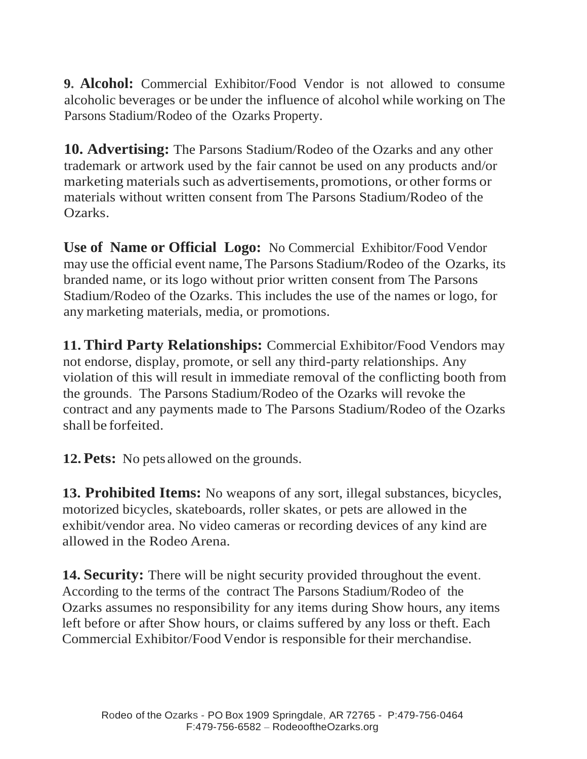**9. Alcohol:** Commercial Exhibitor/Food Vendor is not allowed to consume alcoholic beverages or be under the influence of alcohol while working on The Parsons Stadium/Rodeo of the Ozarks Property.

**10. Advertising:** The Parsons Stadium/Rodeo of the Ozarks and any other trademark or artwork used by the fair cannot be used on any products and/or marketing materials such as advertisements, promotions, or other forms or materials without written consent from The Parsons Stadium/Rodeo of the Ozarks.

**Use of Name or Official Logo:** No Commercial Exhibitor/Food Vendor may use the official event name, The Parsons Stadium/Rodeo of the Ozarks, its branded name, or its logo without prior written consent from The Parsons Stadium/Rodeo of the Ozarks. This includes the use of the names or logo, for any marketing materials, media, or promotions.

**11. Third Party Relationships:** Commercial Exhibitor/Food Vendors may not endorse, display, promote, or sell any third-party relationships. Any violation of this will result in immediate removal of the conflicting booth from the grounds. The Parsons Stadium/Rodeo of the Ozarks will revoke the contract and any payments made to The Parsons Stadium/Rodeo of the Ozarks shall be forfeited.

**12.Pets:** No pets allowed on the grounds.

**13. Prohibited Items:** No weapons of any sort, illegal substances, bicycles, motorized bicycles, skateboards, roller skates, or pets are allowed in the exhibit/vendor area. No video cameras or recording devices of any kind are allowed in the Rodeo Arena.

**14. Security:** There will be night security provided throughout the event. According to the terms of the contract The Parsons Stadium/Rodeo of the Ozarks assumes no responsibility for any items during Show hours, any items left before or after Show hours, or claims suffered by any loss or theft. Each Commercial Exhibitor/Food Vendor is responsible for their merchandise.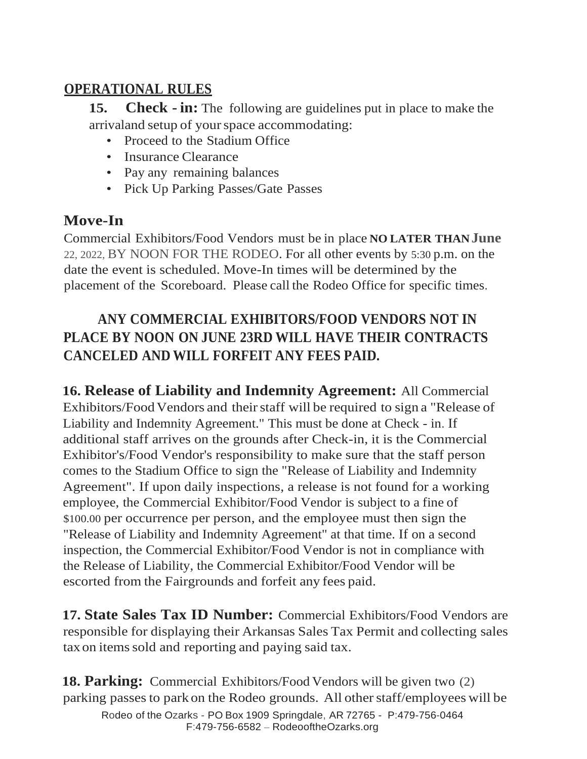#### **OPERATIONAL RULES**

**15. Check - in:** The following are guidelines put in place to make the arrivaland setup of yourspace accommodating:

- Proceed to the Stadium Office
- Insurance Clearance
- Pay any remaining balances
- Pick Up Parking Passes/Gate Passes

#### **Move-In**

Commercial Exhibitors/Food Vendors must be in place **NO LATER THANJune** 22, 2022, BY NOON FOR THE RODEO. For all other events by 5:30 p.m. on the date the event is scheduled. Move-In times will be determined by the placement of the Scoreboard. Please call the Rodeo Office for specific times.

## **ANY COMMERCIAL EXHIBITORS/FOOD VENDORS NOT IN PLACE BY NOON ON JUNE 23RD WILL HAVE THEIR CONTRACTS CANCELED AND WILL FORFEIT ANY FEES PAID.**

**16. Release of Liability and Indemnity Agreement:** All Commercial Exhibitors/Food Vendors and their staff will be required to sign a "Release of Liability and Indemnity Agreement." This must be done at Check - in. If additional staff arrives on the grounds after Check-in, it is the Commercial Exhibitor's/Food Vendor's responsibility to make sure that the staff person comes to the Stadium Office to sign the "Release of Liability and Indemnity Agreement". If upon daily inspections, a release is not found for a working employee, the Commercial Exhibitor/Food Vendor is subject to a fine of \$100.00 per occurrence per person, and the employee must then sign the "Release of Liability and Indemnity Agreement" at that time. If on a second inspection, the Commercial Exhibitor/Food Vendor is not in compliance with the Release of Liability, the Commercial Exhibitor/Food Vendor will be escorted from the Fairgrounds and forfeit any fees paid.

**17. State Sales Tax ID Number:** Commercial Exhibitors/Food Vendors are responsible for displaying their Arkansas Sales Tax Permit and collecting sales tax on items sold and reporting and paying said tax.

Rodeo of the Ozarks - PO Box 1909 Springdale, AR 72765 - P:479-756-0464 F:479-756-6582 – RodeooftheOzarks.org **18. Parking:** Commercial Exhibitors/Food Vendors will be given two (2) parking passes to park on the Rodeo grounds. All other staff/employees will be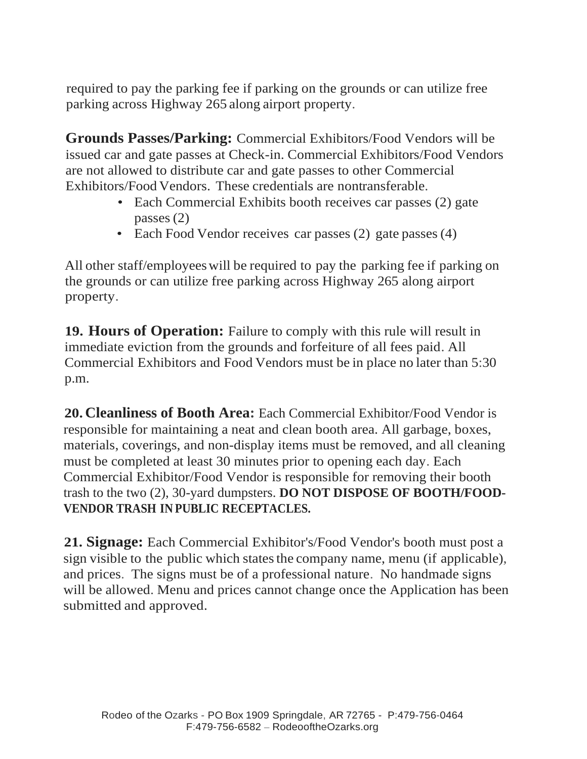required to pay the parking fee if parking on the grounds or can utilize free parking across Highway 265 along airport property.

**Grounds Passes/Parking:** Commercial Exhibitors/Food Vendors will be issued car and gate passes at Check-in. Commercial Exhibitors/Food Vendors are not allowed to distribute car and gate passes to other Commercial Exhibitors/Food Vendors. These credentials are nontransferable.

- Each Commercial Exhibits booth receives car passes (2) gate passes (2)
- Each Food Vendor receives car passes (2) gate passes (4)

All other staff/employeeswill be required to pay the parking fee if parking on the grounds or can utilize free parking across Highway 265 along airport property.

**19. Hours of Operation:** Failure to comply with this rule will result in immediate eviction from the grounds and forfeiture of all fees paid. All Commercial Exhibitors and Food Vendors must be in place no later than 5:30 p.m.

**20. Cleanliness of Booth Area:** Each Commercial Exhibitor/Food Vendor is responsible for maintaining a neat and clean booth area. All garbage, boxes, materials, coverings, and non-display items must be removed, and all cleaning must be completed at least 30 minutes prior to opening each day. Each Commercial Exhibitor/Food Vendor is responsible for removing their booth trash to the two (2), 30-yard dumpsters. **DO NOT DISPOSE OF BOOTH/FOOD-VENDOR TRASH IN PUBLIC RECEPTACLES.**

**21. Signage:** Each Commercial Exhibitor's/Food Vendor's booth must post a sign visible to the public which states the company name, menu (if applicable), and prices. The signs must be of a professional nature. No handmade signs will be allowed. Menu and prices cannot change once the Application has been submitted and approved.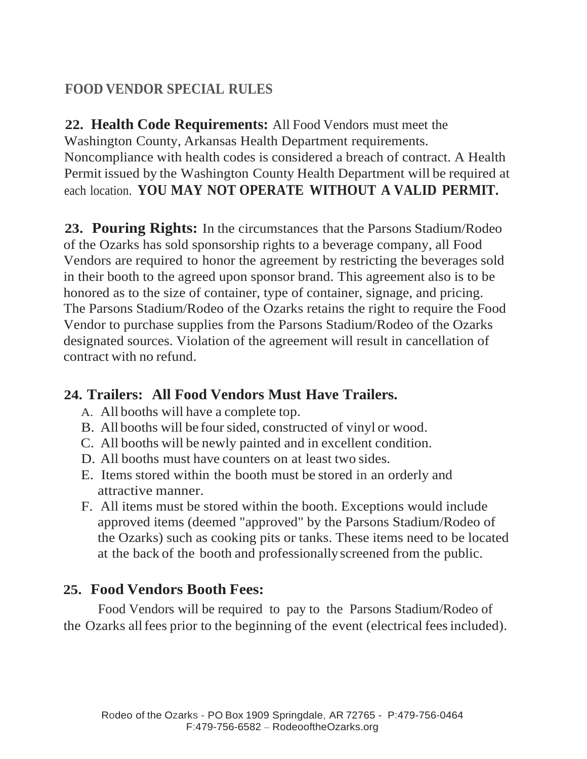## **FOOD VENDOR SPECIAL RULES**

**22. Health Code Requirements:** All Food Vendors must meet the Washington County, Arkansas Health Department requirements. Noncompliance with health codes is considered a breach of contract. A Health Permit issued by the Washington County Health Department will be required at each location. **YOU MAY NOT OPERATE WITHOUT A VALID PERMIT.**

**23. Pouring Rights:** In the circumstances that the Parsons Stadium/Rodeo of the Ozarks has sold sponsorship rights to a beverage company, all Food Vendors are required to honor the agreement by restricting the beverages sold in their booth to the agreed upon sponsor brand. This agreement also is to be honored as to the size of container, type of container, signage, and pricing. The Parsons Stadium/Rodeo of the Ozarks retains the right to require the Food Vendor to purchase supplies from the Parsons Stadium/Rodeo of the Ozarks designated sources. Violation of the agreement will result in cancellation of contract with no refund.

#### **24. Trailers: All Food Vendors Must Have Trailers.**

- A. All booths will have a complete top.
- B. All booths will be four sided, constructed of vinyl or wood.
- C. All booths will be newly painted and in excellent condition.
- D. All booths must have counters on at least two sides.
- E. Items stored within the booth must be stored in an orderly and attractive manner.
- F. All items must be stored within the booth. Exceptions would include approved items (deemed "approved" by the Parsons Stadium/Rodeo of the Ozarks) such as cooking pits or tanks. These items need to be located at the back of the booth and professionallyscreened from the public.

### **25. Food Vendors Booth Fees:**

Food Vendors will be required to pay to the Parsons Stadium/Rodeo of the Ozarks allfees prior to the beginning of the event (electrical feesincluded).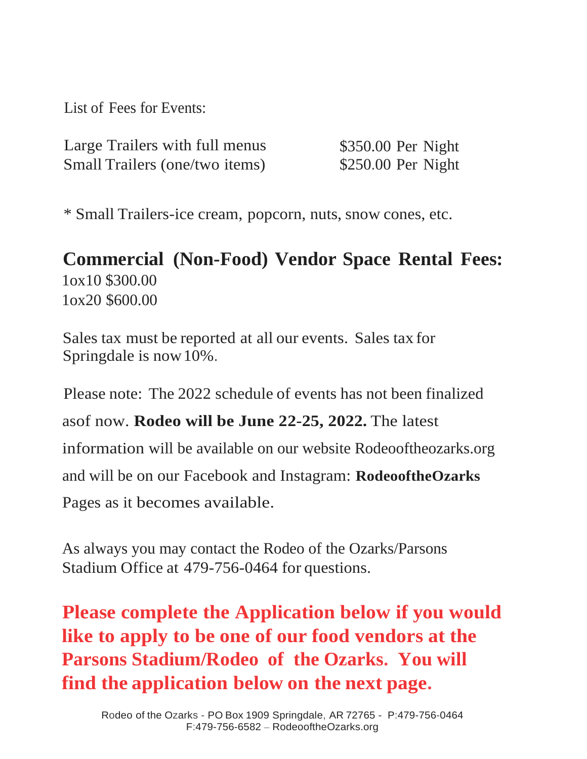List of Fees for Events:

| Large Trailers with full menus | \$350.00 Per Night  |
|--------------------------------|---------------------|
| Small Trailers (one/two items) | $$250.00$ Per Night |

\* Small Trailers-ice cream, popcorn, nuts, snow cones, etc.

# **Commercial (Non-Food) Vendor Space Rental Fees:** 1ox10 \$300.00 1ox20 \$600.00

Sales tax must be reported at all our events. Sales tax for Springdale is now10%.

Please note: The 2022 schedule of events has not been finalized

asof now. **Rodeo will be June 22-25, 2022.** The latest

information will be available on our website Rodeooftheozarks.org

and will be on our Facebook and Instagram: **RodeooftheOzarks** 

Pages as it becomes available.

As always you may contact the Rodeo of the Ozarks/Parsons Stadium Office at 479-756-0464 for questions.

**Please complete the Application below if you would like to apply to be one of our food vendors at the Parsons Stadium/Rodeo of the Ozarks. You will find the application below on the next page.**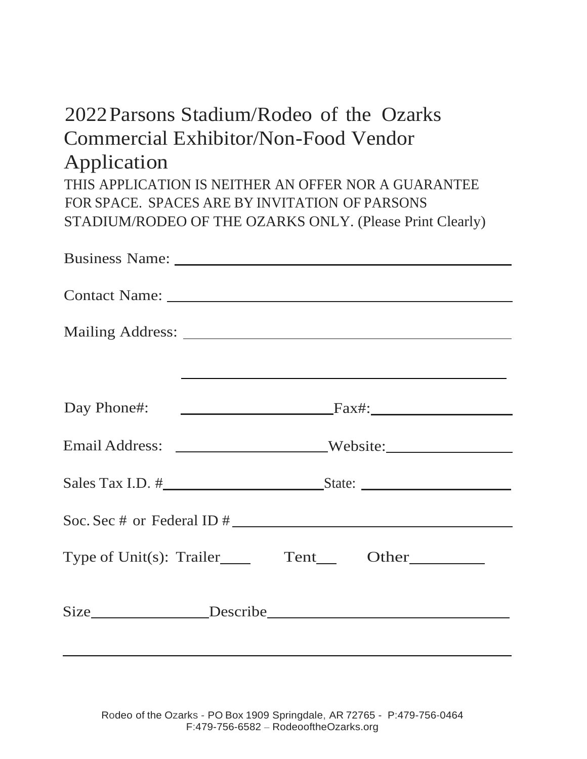# 2022Parsons Stadium/Rodeo of the Ozarks Commercial Exhibitor/Non-Food Vendor Application THIS APPLICATION IS NEITHER AN OFFER NOR A GUARANTEE

FOR SPACE. SPACES ARE BY INVITATION OF PARSONS STADIUM/RODEO OF THE OZARKS ONLY. (Please Print Clearly)

|  | the contract of the contract of the contract of the contract of the contract of the contract of the contract of |
|--|-----------------------------------------------------------------------------------------------------------------|
|  |                                                                                                                 |
|  | Email Address: _______________________Website:__________________________________                                |
|  |                                                                                                                 |
|  |                                                                                                                 |
|  |                                                                                                                 |
|  |                                                                                                                 |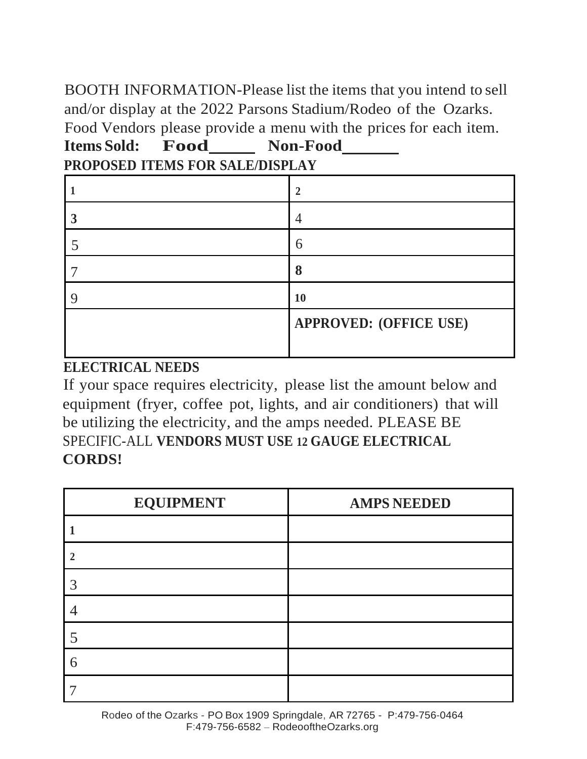BOOTH INFORMATION-Please list the items that you intend to sell and/or display at the 2022 Parsons Stadium/Rodeo of the Ozarks. Food Vendors please provide a menu with the prices for each item. **Items Sold: Food Non-Food** 

|  | PROPOSED ITEMS FOR SALE/DISPLAY |  |
|--|---------------------------------|--|
|  |                                 |  |

| 2                             |
|-------------------------------|
|                               |
| h                             |
| 8                             |
| 10                            |
| <b>APPROVED: (OFFICE USE)</b> |
|                               |

#### **ELECTRICAL NEEDS**

If your space requires electricity, please list the amount below and equipment (fryer, coffee pot, lights, and air conditioners) that will be utilizing the electricity, and the amps needed. PLEASE BE SPECIFIC-ALL **VENDORS MUST USE 12 GAUGE ELECTRICAL CORDS!**

| <b>EQUIPMENT</b> | <b>AMPS NEEDED</b> |
|------------------|--------------------|
|                  |                    |
| $\mathcal{D}$    |                    |
| 3                |                    |
|                  |                    |
|                  |                    |
| 6                |                    |
|                  |                    |